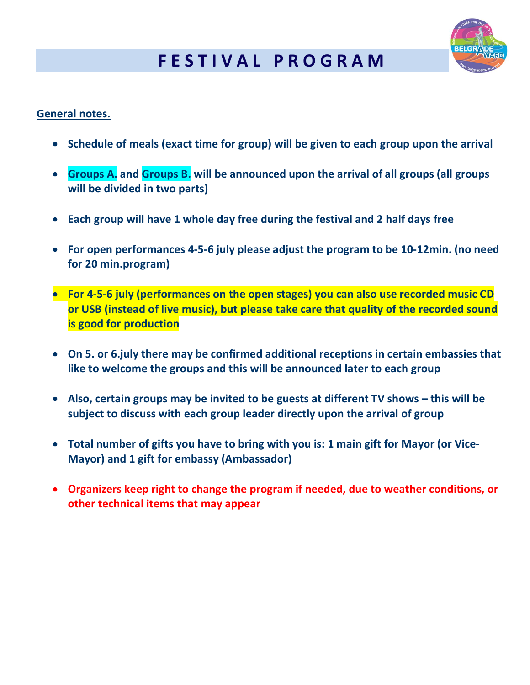## **F E S T I V A L P R O G R A M**



## **General notes.**

- **Schedule of meals (exact time for group) will be given to each group upon the arrival**
- **Groups A. and Groups B. will be announced upon the arrival of all groups (all groups will be divided in two parts)**
- **Each group will have 1 whole day free during the festival and 2 half days free**
- **For open performances 4-5-6 july please adjust the program to be 10-12min. (no need for 20 min.program)**
- **For 4-5-6 july (performances on the open stages) you can also use recorded music CD or USB (instead of live music), but please take care that quality of the recorded sound is good for production**
- **On 5. or 6.july there may be confirmed additional receptions in certain embassies that like to welcome the groups and this will be announced later to each group**
- **Also, certain groups may be invited to be guests at different TV shows – this will be subject to discuss with each group leader directly upon the arrival of group**
- **Total number of gifts you have to bring with you is: 1 main gift for Mayor (or Vice-Mayor) and 1 gift for embassy (Ambassador)**
- **Organizers keep right to change the program if needed, due to weather conditions, or other technical items that may appear**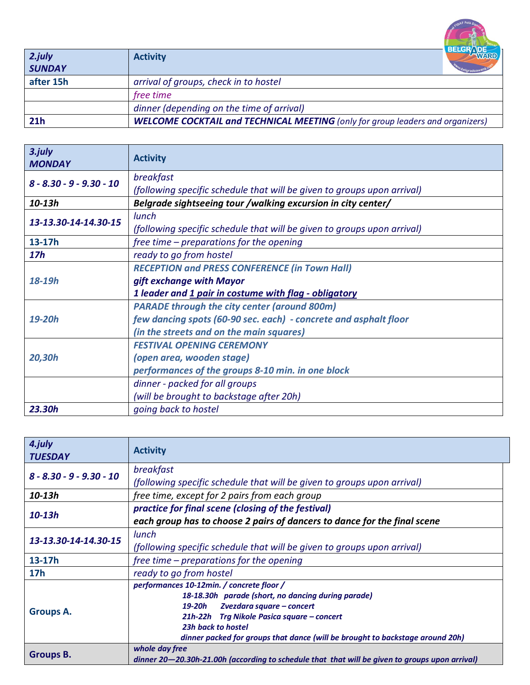| 2.july<br><b>SUNDAY</b> | <b>Activity</b>                                                                       | <b>BELGRAD</b> |
|-------------------------|---------------------------------------------------------------------------------------|----------------|
| after 15h               | arrival of groups, check in to hostel                                                 |                |
|                         | free time                                                                             |                |
|                         | dinner (depending on the time of arrival)                                             |                |
| 21h                     | <b>WELCOME COCKTAIL and TECHNICAL MEETING</b> (only for group leaders and organizers) |                |

| 3.july<br><b>MONDAY</b>    | <b>Activity</b>                                                         |
|----------------------------|-------------------------------------------------------------------------|
| $8 - 8.30 - 9 - 9.30 - 10$ | breakfast                                                               |
|                            | (following specific schedule that will be given to groups upon arrival) |
| $10 - 13h$                 | Belgrade sightseeing tour /walking excursion in city center/            |
| 13-13.30-14-14.30-15       | lunch                                                                   |
|                            | (following specific schedule that will be given to groups upon arrival) |
| 13-17h                     | free time $-$ preparations for the opening                              |
| 17 <sub>h</sub>            | ready to go from hostel                                                 |
| $18 - 19h$                 | <b>RECEPTION and PRESS CONFERENCE (in Town Hall)</b>                    |
|                            | gift exchange with Mayor                                                |
|                            | 1 leader and 1 pair in costume with flag - obligatory                   |
| 19-20h                     | <b>PARADE through the city center (around 800m)</b>                     |
|                            | few dancing spots (60-90 sec. each) - concrete and asphalt floor        |
|                            | (in the streets and on the main squares)                                |
| 20,30h                     | <b>FESTIVAL OPENING CEREMONY</b>                                        |
|                            | (open area, wooden stage)                                               |
|                            | performances of the groups 8-10 min. in one block                       |
|                            | dinner - packed for all groups                                          |
|                            | (will be brought to backstage after 20h)                                |
| 23.30h                     | going back to hostel                                                    |

| 4.july<br><b>TUESDAY</b>   | <b>Activity</b>                                                                                |
|----------------------------|------------------------------------------------------------------------------------------------|
| $8 - 8.30 - 9 - 9.30 - 10$ | breakfast                                                                                      |
|                            | (following specific schedule that will be given to groups upon arrival)                        |
| $10 - 13h$                 | free time, except for 2 pairs from each group                                                  |
| $10 - 13h$                 | practice for final scene (closing of the festival)                                             |
|                            | each group has to choose 2 pairs of dancers to dance for the final scene                       |
| 13-13.30-14-14.30-15       | lunch                                                                                          |
|                            | (following specific schedule that will be given to groups upon arrival)                        |
| $13-17h$                   | free time $-$ preparations for the opening                                                     |
| 17 <sub>h</sub>            | ready to go from hostel                                                                        |
|                            | performances 10-12min. / concrete floor /                                                      |
|                            | 18-18.30h parade (short, no dancing during parade)                                             |
| <b>Groups A.</b>           | Zvezdara square - concert<br>19-20h                                                            |
|                            | 21h-22h Trg Nikole Pasica square – concert                                                     |
|                            | 23h back to hostel                                                                             |
|                            | dinner packed for groups that dance (will be brought to backstage around 20h)                  |
| <b>Groups B.</b>           | whole day free                                                                                 |
|                            | dinner 20–20.30h-21.00h (according to schedule that that will be given to groups upon arrival) |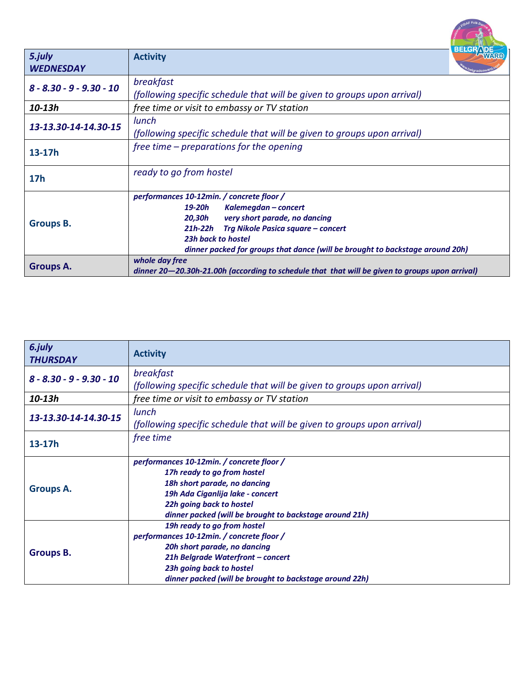|                            | <b>BELGRADE</b>                                                                                |
|----------------------------|------------------------------------------------------------------------------------------------|
| 5.july                     | <b>Activity</b>                                                                                |
| <b>WEDNESDAY</b>           |                                                                                                |
| $8 - 8.30 - 9 - 9.30 - 10$ | breakfast                                                                                      |
|                            | (following specific schedule that will be given to groups upon arrival)                        |
| $10 - 13h$                 | free time or visit to embassy or TV station                                                    |
| 13-13.30-14-14.30-15       | lunch                                                                                          |
|                            | (following specific schedule that will be given to groups upon arrival)                        |
| $13-17h$                   | free time $-$ preparations for the opening                                                     |
|                            |                                                                                                |
| <b>17h</b>                 | ready to go from hostel                                                                        |
|                            |                                                                                                |
| <b>Groups B.</b>           | performances 10-12min. / concrete floor /                                                      |
|                            | 19-20h<br>Kalemegdan – concert<br>20,30h                                                       |
|                            | very short parade, no dancing<br>Trg Nikole Pasica square – concert<br>$21h-22h$               |
|                            | 23h back to hostel                                                                             |
|                            | dinner packed for groups that dance (will be brought to backstage around 20h)                  |
| Groups A.                  | whole day free                                                                                 |
|                            | dinner 20–20.30h-21.00h (according to schedule that that will be given to groups upon arrival) |

REAL FORE FOIR Dance

| 6.july<br><b>THURSDAY</b>  | <b>Activity</b>                                                         |
|----------------------------|-------------------------------------------------------------------------|
| $8 - 8.30 - 9 - 9.30 - 10$ | breakfast                                                               |
|                            | (following specific schedule that will be given to groups upon arrival) |
| 10-13h                     | free time or visit to embassy or TV station                             |
| 13-13.30-14-14.30-15       | lunch                                                                   |
|                            | (following specific schedule that will be given to groups upon arrival) |
| $13 - 17h$                 | free time                                                               |
|                            |                                                                         |
|                            | performances 10-12min. / concrete floor /                               |
|                            | 17h ready to go from hostel                                             |
| <b>Groups A.</b>           | 18h short parade, no dancing                                            |
|                            | 19h Ada Ciganlija lake - concert                                        |
|                            | 22h going back to hostel                                                |
|                            | dinner packed (will be brought to backstage around 21h)                 |
|                            | 19h ready to go from hostel                                             |
| <b>Groups B.</b>           | performances 10-12min. / concrete floor /                               |
|                            | 20h short parade, no dancing                                            |
|                            | 21h Belgrade Waterfront - concert                                       |
|                            | 23h going back to hostel                                                |
|                            | dinner packed (will be brought to backstage around 22h)                 |